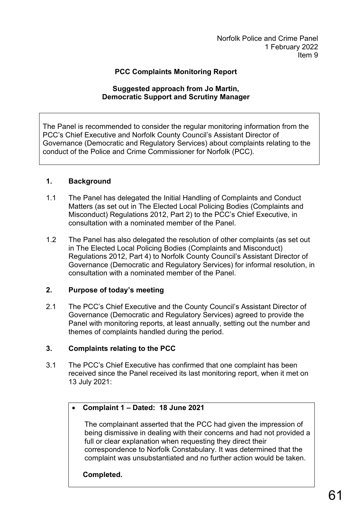Norfolk Police and Crime Panel 1 February 2022 Item 9

### **PCC Complaints Monitoring Report**

#### **Suggested approach from Jo Martin, Democratic Support and Scrutiny Manager**

The Panel is recommended to consider the regular monitoring information from the PCC's Chief Executive and Norfolk County Council's Assistant Director of Governance (Democratic and Regulatory Services) about complaints relating to the conduct of the Police and Crime Commissioner for Norfolk (PCC).

#### **1. Background**

- 1.1 The Panel has delegated the Initial Handling of Complaints and Conduct Matters (as set out in The Elected Local Policing Bodies (Complaints and Misconduct) Regulations 2012, Part 2) to the PCC's Chief Executive, in consultation with a nominated member of the Panel.
- 1.2 The Panel has also delegated the resolution of other complaints (as set out in The Elected Local Policing Bodies (Complaints and Misconduct) Regulations 2012, Part 4) to Norfolk County Council's Assistant Director of Governance (Democratic and Regulatory Services) for informal resolution, in consultation with a nominated member of the Panel.

### **2. Purpose of today's meeting**

2.1 The PCC's Chief Executive and the County Council's Assistant Director of Governance (Democratic and Regulatory Services) agreed to provide the Panel with monitoring reports, at least annually, setting out the number and themes of complaints handled during the period.

#### **3. Complaints relating to the PCC**

3.1 The PCC's Chief Executive has confirmed that one complaint has been received since the Panel received its last monitoring report, when it met on 13 July 2021:

### • **Complaint 1 – Dated: 18 June 2021**

The complainant asserted that the PCC had given the impression of being dismissive in dealing with their concerns and had not provided a full or clear explanation when requesting they direct their correspondence to Norfolk Constabulary. It was determined that the complaint was unsubstantiated and no further action would be taken.

## **Completed.**